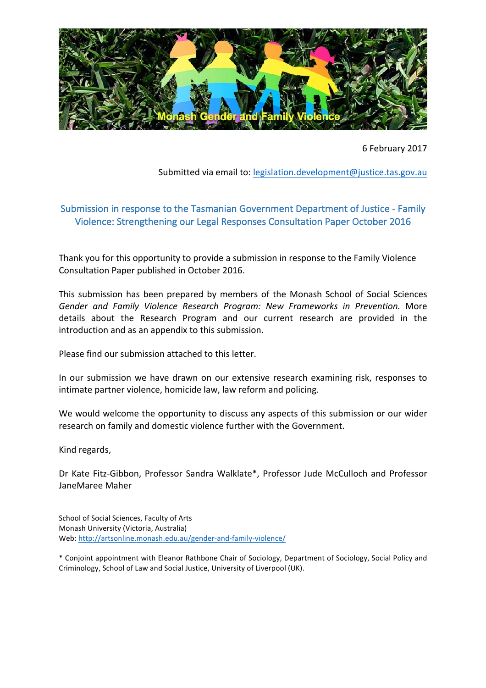

6 February 2017

Submitted via email to: legislation.development@justice.tas.gov.au

## Submission in response to the Tasmanian Government Department of Justice - Family Violence: Strengthening our Legal Responses Consultation Paper October 2016

Thank you for this opportunity to provide a submission in response to the Family Violence Consultation Paper published in October 2016.

This submission has been prepared by members of the Monash School of Social Sciences Gender and Family Violence Research Program: New Frameworks in Prevention. More details about the Research Program and our current research are provided in the introduction and as an appendix to this submission.

Please find our submission attached to this letter.

In our submission we have drawn on our extensive research examining risk, responses to intimate partner violence, homicide law, law reform and policing.

We would welcome the opportunity to discuss any aspects of this submission or our wider research on family and domestic violence further with the Government.

Kind regards,

Dr Kate Fitz-Gibbon, Professor Sandra Walklate\*, Professor Jude McCulloch and Professor JaneMaree Maher

School of Social Sciences, Faculty of Arts Monash University (Victoria, Australia) Web: http://artsonline.monash.edu.au/gender-and-family-violence/

\* Conjoint appointment with Eleanor Rathbone Chair of Sociology, Department of Sociology, Social Policy and Criminology, School of Law and Social Justice, University of Liverpool (UK).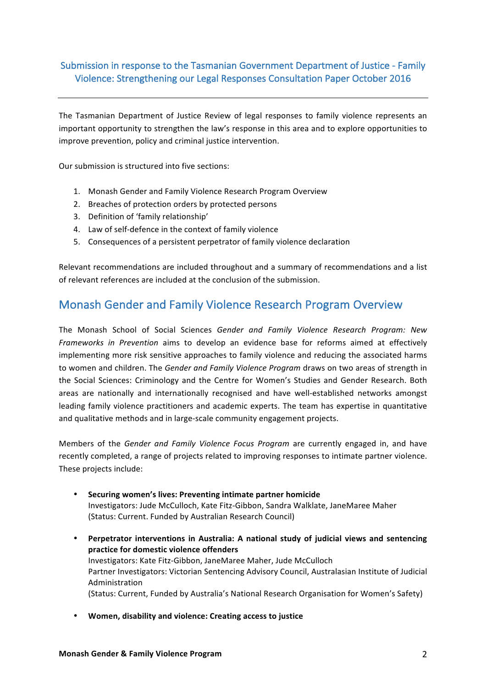### Submission in response to the Tasmanian Government Department of Justice - Family Violence: Strengthening our Legal Responses Consultation Paper October 2016

The Tasmanian Department of Justice Review of legal responses to family violence represents an important opportunity to strengthen the law's response in this area and to explore opportunities to improve prevention, policy and criminal justice intervention.

Our submission is structured into five sections:

- 1. Monash Gender and Family Violence Research Program Overview
- 2. Breaches of protection orders by protected persons
- 3. Definition of 'family relationship'
- 4. Law of self-defence in the context of family violence
- 5. Consequences of a persistent perpetrator of family violence declaration

Relevant recommendations are included throughout and a summary of recommendations and a list of relevant references are included at the conclusion of the submission.

## Monash Gender and Family Violence Research Program Overview

The Monash School of Social Sciences *Gender and Family Violence Research Program:* New *Frameworks* in Prevention aims to develop an evidence base for reforms aimed at effectively implementing more risk sensitive approaches to family violence and reducing the associated harms to women and children. The *Gender and Family Violence Program* draws on two areas of strength in the Social Sciences: Criminology and the Centre for Women's Studies and Gender Research. Both areas are nationally and internationally recognised and have well-established networks amongst leading family violence practitioners and academic experts. The team has expertise in quantitative and qualitative methods and in large-scale community engagement projects.

Members of the *Gender and Family Violence Focus Program* are currently engaged in, and have recently completed, a range of projects related to improving responses to intimate partner violence. These projects include:

- **•** Securing women's lives: Preventing intimate partner homicide Investigators: Jude McCulloch, Kate Fitz-Gibbon, Sandra Walklate, JaneMaree Maher (Status: Current. Funded by Australian Research Council)
- Perpetrator interventions in Australia: A national study of judicial views and sentencing **practice for domestic violence offenders** Investigators: Kate Fitz-Gibbon, JaneMaree Maher, Jude McCulloch Partner Investigators: Victorian Sentencing Advisory Council, Australasian Institute of Judicial Administration (Status: Current, Funded by Australia's National Research Organisation for Women's Safety)
- **Women, disability and violence: Creating access to justice**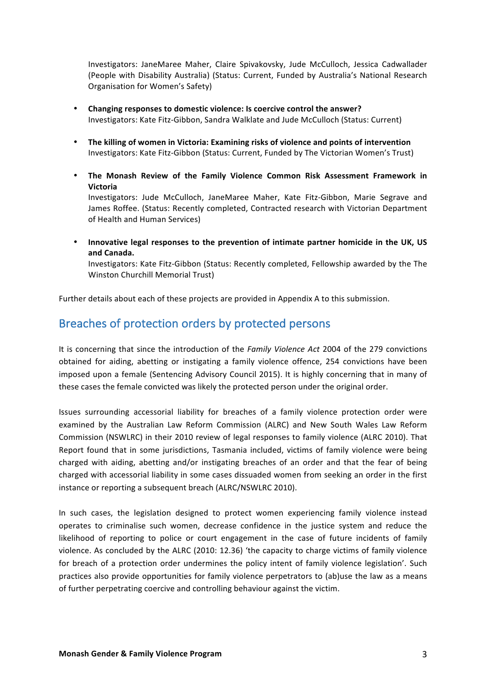Investigators: JaneMaree Maher, Claire Spivakovsky, Jude McCulloch, Jessica Cadwallader (People with Disability Australia) (Status: Current, Funded by Australia's National Research Organisation for Women's Safety)

- Changing responses to domestic violence: Is coercive control the answer? Investigators: Kate Fitz-Gibbon, Sandra Walklate and Jude McCulloch (Status: Current)
- The killing of women in Victoria: Examining risks of violence and points of intervention Investigators: Kate Fitz-Gibbon (Status: Current, Funded by The Victorian Women's Trust)
- The Monash Review of the Family Violence Common Risk Assessment Framework in **Victoria**

Investigators: Jude McCulloch, JaneMaree Maher, Kate Fitz-Gibbon, Marie Segrave and James Roffee. (Status: Recently completed, Contracted research with Victorian Department of Health and Human Services)

• Innovative legal responses to the prevention of intimate partner homicide in the UK, US **and Canada.** 

Investigators: Kate Fitz-Gibbon (Status: Recently completed, Fellowship awarded by the The Winston Churchill Memorial Trust)

Further details about each of these projects are provided in Appendix A to this submission.

## Breaches of protection orders by protected persons

It is concerning that since the introduction of the *Family Violence Act* 2004 of the 279 convictions obtained for aiding, abetting or instigating a family violence offence, 254 convictions have been imposed upon a female (Sentencing Advisory Council 2015). It is highly concerning that in many of these cases the female convicted was likely the protected person under the original order.

Issues surrounding accessorial liability for breaches of a family violence protection order were examined by the Australian Law Reform Commission (ALRC) and New South Wales Law Reform Commission (NSWLRC) in their 2010 review of legal responses to family violence (ALRC 2010). That Report found that in some jurisdictions, Tasmania included, victims of family violence were being charged with aiding, abetting and/or instigating breaches of an order and that the fear of being charged with accessorial liability in some cases dissuaded women from seeking an order in the first instance or reporting a subsequent breach (ALRC/NSWLRC 2010).

In such cases, the legislation designed to protect women experiencing family violence instead operates to criminalise such women, decrease confidence in the justice system and reduce the likelihood of reporting to police or court engagement in the case of future incidents of family violence. As concluded by the ALRC (2010: 12.36) 'the capacity to charge victims of family violence for breach of a protection order undermines the policy intent of family violence legislation'. Such practices also provide opportunities for family violence perpetrators to (ab)use the law as a means of further perpetrating coercive and controlling behaviour against the victim.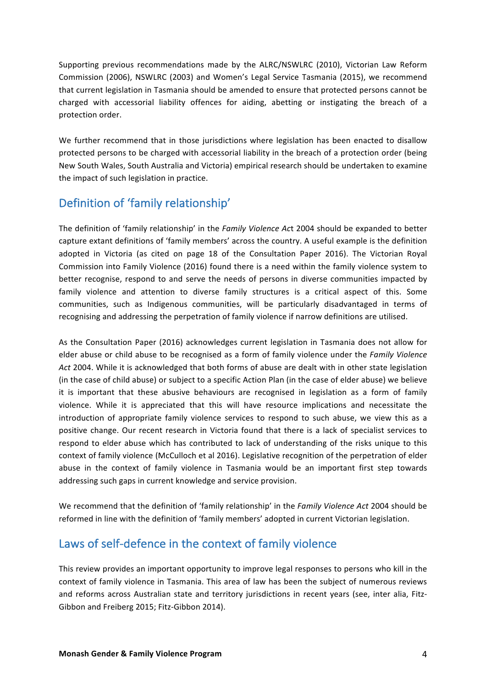Supporting previous recommendations made by the ALRC/NSWLRC (2010), Victorian Law Reform Commission (2006), NSWLRC (2003) and Women's Legal Service Tasmania (2015), we recommend that current legislation in Tasmania should be amended to ensure that protected persons cannot be charged with accessorial liability offences for aiding, abetting or instigating the breach of a protection order.

We further recommend that in those jurisdictions where legislation has been enacted to disallow protected persons to be charged with accessorial liability in the breach of a protection order (being New South Wales, South Australia and Victoria) empirical research should be undertaken to examine the impact of such legislation in practice.

## Definition of 'family relationship'

The definition of 'family relationship' in the *Family Violence Act* 2004 should be expanded to better capture extant definitions of 'family members' across the country. A useful example is the definition adopted in Victoria (as cited on page 18 of the Consultation Paper 2016). The Victorian Royal Commission into Family Violence (2016) found there is a need within the family violence system to better recognise, respond to and serve the needs of persons in diverse communities impacted by family violence and attention to diverse family structures is a critical aspect of this. Some communities, such as Indigenous communities, will be particularly disadvantaged in terms of recognising and addressing the perpetration of family violence if narrow definitions are utilised.

As the Consultation Paper (2016) acknowledges current legislation in Tasmania does not allow for elder abuse or child abuse to be recognised as a form of family violence under the *Family Violence* Act 2004. While it is acknowledged that both forms of abuse are dealt with in other state legislation (in the case of child abuse) or subject to a specific Action Plan (in the case of elder abuse) we believe it is important that these abusive behaviours are recognised in legislation as a form of family violence. While it is appreciated that this will have resource implications and necessitate the introduction of appropriate family violence services to respond to such abuse, we view this as a positive change. Our recent research in Victoria found that there is a lack of specialist services to respond to elder abuse which has contributed to lack of understanding of the risks unique to this context of family violence (McCulloch et al 2016). Legislative recognition of the perpetration of elder abuse in the context of family violence in Tasmania would be an important first step towards addressing such gaps in current knowledge and service provision.

We recommend that the definition of 'family relationship' in the *Family Violence Act* 2004 should be reformed in line with the definition of 'family members' adopted in current Victorian legislation.

# Laws of self-defence in the context of family violence

This review provides an important opportunity to improve legal responses to persons who kill in the context of family violence in Tasmania. This area of law has been the subject of numerous reviews and reforms across Australian state and territory jurisdictions in recent years (see, inter alia, Fitz-Gibbon and Freiberg 2015; Fitz-Gibbon 2014).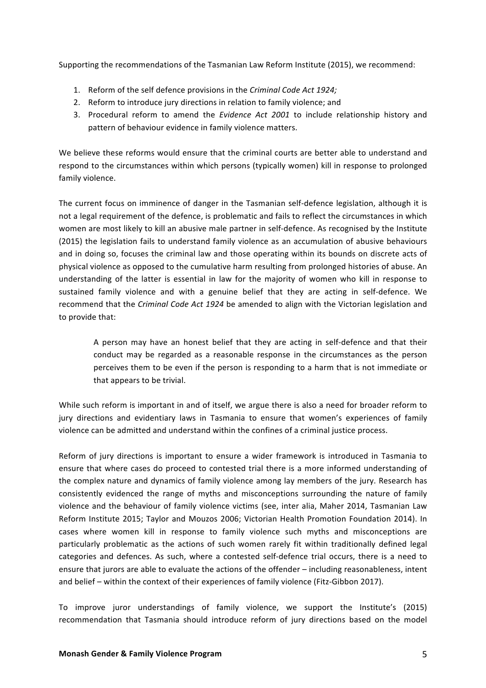Supporting the recommendations of the Tasmanian Law Reform Institute (2015), we recommend:

- 1. Reform of the self defence provisions in the *Criminal Code Act 1924;*
- 2. Reform to introduce jury directions in relation to family violence; and
- 3. Procedural reform to amend the *Evidence Act 2001* to include relationship history and pattern of behaviour evidence in family violence matters.

We believe these reforms would ensure that the criminal courts are better able to understand and respond to the circumstances within which persons (typically women) kill in response to prolonged family violence.

The current focus on imminence of danger in the Tasmanian self-defence legislation, although it is not a legal requirement of the defence, is problematic and fails to reflect the circumstances in which women are most likely to kill an abusive male partner in self-defence. As recognised by the Institute (2015) the legislation fails to understand family violence as an accumulation of abusive behaviours and in doing so, focuses the criminal law and those operating within its bounds on discrete acts of physical violence as opposed to the cumulative harm resulting from prolonged histories of abuse. An understanding of the latter is essential in law for the majority of women who kill in response to sustained family violence and with a genuine belief that they are acting in self-defence. We recommend that the *Criminal Code Act 1924* be amended to align with the Victorian legislation and to provide that:

A person may have an honest belief that they are acting in self-defence and that their conduct may be regarded as a reasonable response in the circumstances as the person perceives them to be even if the person is responding to a harm that is not immediate or that appears to be trivial.

While such reform is important in and of itself, we argue there is also a need for broader reform to jury directions and evidentiary laws in Tasmania to ensure that women's experiences of family violence can be admitted and understand within the confines of a criminal justice process.

Reform of jury directions is important to ensure a wider framework is introduced in Tasmania to ensure that where cases do proceed to contested trial there is a more informed understanding of the complex nature and dynamics of family violence among lay members of the jury. Research has consistently evidenced the range of myths and misconceptions surrounding the nature of family violence and the behaviour of family violence victims (see, inter alia, Maher 2014, Tasmanian Law Reform Institute 2015; Taylor and Mouzos 2006; Victorian Health Promotion Foundation 2014). In cases where women kill in response to family violence such myths and misconceptions are particularly problematic as the actions of such women rarely fit within traditionally defined legal categories and defences. As such, where a contested self-defence trial occurs, there is a need to ensure that jurors are able to evaluate the actions of the offender – including reasonableness, intent and belief – within the context of their experiences of family violence (Fitz-Gibbon 2017).

To improve juror understandings of family violence, we support the Institute's (2015) recommendation that Tasmania should introduce reform of jury directions based on the model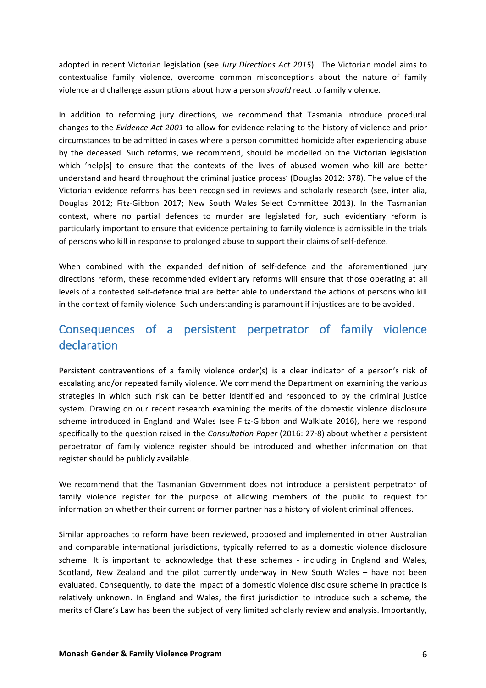adopted in recent Victorian legislation (see Jury Directions Act 2015). The Victorian model aims to contextualise family violence, overcome common misconceptions about the nature of family violence and challenge assumptions about how a person *should* react to family violence.

In addition to reforming jury directions, we recommend that Tasmania introduce procedural changes to the *Evidence Act 2001* to allow for evidence relating to the history of violence and prior circumstances to be admitted in cases where a person committed homicide after experiencing abuse by the deceased. Such reforms, we recommend, should be modelled on the Victorian legislation which 'help[s] to ensure that the contexts of the lives of abused women who kill are better understand and heard throughout the criminal justice process' (Douglas 2012: 378). The value of the Victorian evidence reforms has been recognised in reviews and scholarly research (see, inter alia, Douglas 2012; Fitz-Gibbon 2017; New South Wales Select Committee 2013). In the Tasmanian context, where no partial defences to murder are legislated for, such evidentiary reform is particularly important to ensure that evidence pertaining to family violence is admissible in the trials of persons who kill in response to prolonged abuse to support their claims of self-defence.

When combined with the expanded definition of self-defence and the aforementioned jury directions reform, these recommended evidentiary reforms will ensure that those operating at all levels of a contested self-defence trial are better able to understand the actions of persons who kill in the context of family violence. Such understanding is paramount if injustices are to be avoided.

# Consequences of a persistent perpetrator of family violence declaration

Persistent contraventions of a family violence order(s) is a clear indicator of a person's risk of escalating and/or repeated family violence. We commend the Department on examining the various strategies in which such risk can be better identified and responded to by the criminal justice system. Drawing on our recent research examining the merits of the domestic violence disclosure scheme introduced in England and Wales (see Fitz-Gibbon and Walklate 2016), here we respond specifically to the question raised in the *Consultation Paper* (2016: 27-8) about whether a persistent perpetrator of family violence register should be introduced and whether information on that register should be publicly available.

We recommend that the Tasmanian Government does not introduce a persistent perpetrator of family violence register for the purpose of allowing members of the public to request for information on whether their current or former partner has a history of violent criminal offences.

Similar approaches to reform have been reviewed, proposed and implemented in other Australian and comparable international jurisdictions, typically referred to as a domestic violence disclosure scheme. It is important to acknowledge that these schemes - including in England and Wales, Scotland, New Zealand and the pilot currently underway in New South Wales - have not been evaluated. Consequently, to date the impact of a domestic violence disclosure scheme in practice is relatively unknown. In England and Wales, the first jurisdiction to introduce such a scheme, the merits of Clare's Law has been the subject of very limited scholarly review and analysis. Importantly,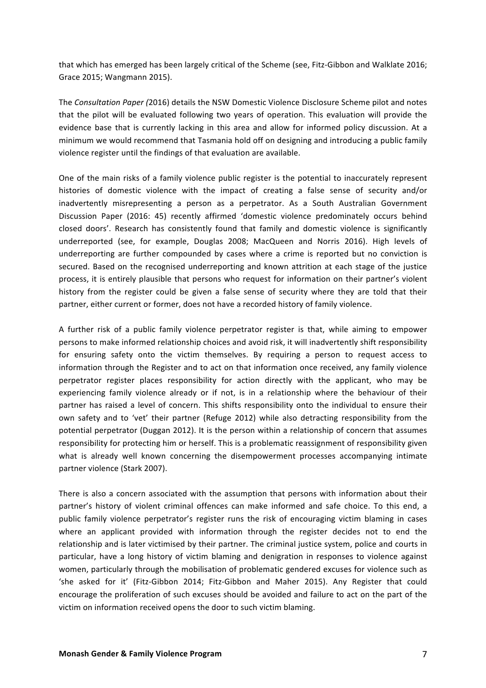that which has emerged has been largely critical of the Scheme (see, Fitz-Gibbon and Walklate 2016; Grace 2015; Wangmann 2015).

The Consultation Paper (2016) details the NSW Domestic Violence Disclosure Scheme pilot and notes that the pilot will be evaluated following two years of operation. This evaluation will provide the evidence base that is currently lacking in this area and allow for informed policy discussion. At a minimum we would recommend that Tasmania hold off on designing and introducing a public family violence register until the findings of that evaluation are available.

One of the main risks of a family violence public register is the potential to inaccurately represent histories of domestic violence with the impact of creating a false sense of security and/or inadvertently misrepresenting a person as a perpetrator. As a South Australian Government Discussion Paper (2016: 45) recently affirmed 'domestic violence predominately occurs behind closed doors'. Research has consistently found that family and domestic violence is significantly underreported (see, for example, Douglas 2008; MacQueen and Norris 2016). High levels of underreporting are further compounded by cases where a crime is reported but no conviction is secured. Based on the recognised underreporting and known attrition at each stage of the justice process, it is entirely plausible that persons who request for information on their partner's violent history from the register could be given a false sense of security where they are told that their partner, either current or former, does not have a recorded history of family violence.

A further risk of a public family violence perpetrator register is that, while aiming to empower persons to make informed relationship choices and avoid risk, it will inadvertently shift responsibility for ensuring safety onto the victim themselves. By requiring a person to request access to information through the Register and to act on that information once received, any family violence perpetrator register places responsibility for action directly with the applicant, who may be experiencing family violence already or if not, is in a relationship where the behaviour of their partner has raised a level of concern. This shifts responsibility onto the individual to ensure their own safety and to 'vet' their partner (Refuge 2012) while also detracting responsibility from the potential perpetrator (Duggan 2012). It is the person within a relationship of concern that assumes responsibility for protecting him or herself. This is a problematic reassignment of responsibility given what is already well known concerning the disempowerment processes accompanying intimate partner violence (Stark 2007).

There is also a concern associated with the assumption that persons with information about their partner's history of violent criminal offences can make informed and safe choice. To this end, a public family violence perpetrator's register runs the risk of encouraging victim blaming in cases where an applicant provided with information through the register decides not to end the relationship and is later victimised by their partner. The criminal justice system, police and courts in particular, have a long history of victim blaming and denigration in responses to violence against women, particularly through the mobilisation of problematic gendered excuses for violence such as 'she asked for it' (Fitz-Gibbon 2014; Fitz-Gibbon and Maher 2015). Any Register that could encourage the proliferation of such excuses should be avoided and failure to act on the part of the victim on information received opens the door to such victim blaming.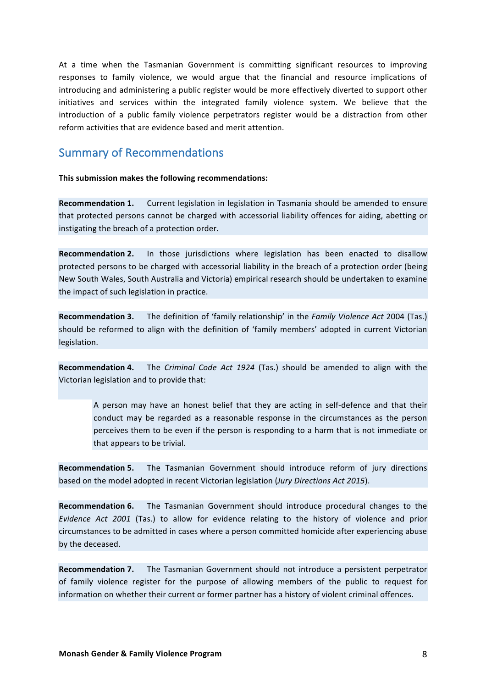At a time when the Tasmanian Government is committing significant resources to improving responses to family violence, we would argue that the financial and resource implications of introducing and administering a public register would be more effectively diverted to support other initiatives and services within the integrated family violence system. We believe that the introduction of a public family violence perpetrators register would be a distraction from other reform activities that are evidence based and merit attention.

### **Summary of Recommendations**

**This submission makes the following recommendations:** 

**Recommendation 1.** Current legislation in legislation in Tasmania should be amended to ensure that protected persons cannot be charged with accessorial liability offences for aiding, abetting or instigating the breach of a protection order.

**Recommendation 2.** In those jurisdictions where legislation has been enacted to disallow protected persons to be charged with accessorial liability in the breach of a protection order (being New South Wales, South Australia and Victoria) empirical research should be undertaken to examine the impact of such legislation in practice.

**Recommendation 3.** The definition of 'family relationship' in the *Family Violence Act* 2004 (Tas.) should be reformed to align with the definition of 'family members' adopted in current Victorian legislation. 

**Recommendation 4.** The *Criminal Code Act 1924* (Tas.) should be amended to align with the Victorian legislation and to provide that:

A person may have an honest belief that they are acting in self-defence and that their conduct may be regarded as a reasonable response in the circumstances as the person perceives them to be even if the person is responding to a harm that is not immediate or that appears to be trivial.

**Recommendation 5.** The Tasmanian Government should introduce reform of jury directions based on the model adopted in recent Victorian legislation (*Jury Directions Act 2015*).

**Recommendation 6.** The Tasmanian Government should introduce procedural changes to the *Evidence Act 2001* (Tas.) to allow for evidence relating to the history of violence and prior circumstances to be admitted in cases where a person committed homicide after experiencing abuse by the deceased.

**Recommendation 7.** The Tasmanian Government should not introduce a persistent perpetrator of family violence register for the purpose of allowing members of the public to request for information on whether their current or former partner has a history of violent criminal offences.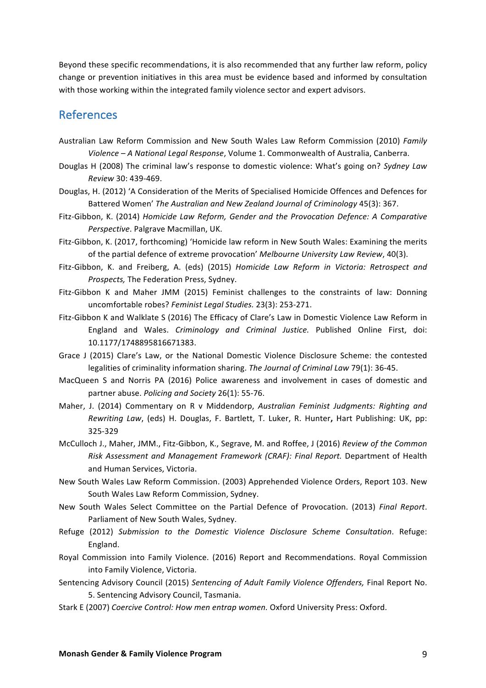Beyond these specific recommendations, it is also recommended that any further law reform, policy change or prevention initiatives in this area must be evidence based and informed by consultation with those working within the integrated family violence sector and expert advisors.

## References

- Australian Law Reform Commission and New South Wales Law Reform Commission (2010) *Family* Violence – A National Legal Response, Volume 1. Commonwealth of Australia, Canberra.
- Douglas H (2008) The criminal law's response to domestic violence: What's going on? *Sydney Law Review* 30: 439-469.
- Douglas, H. (2012) 'A Consideration of the Merits of Specialised Homicide Offences and Defences for Battered Women' *The Australian and New Zealand Journal of Criminology* 45(3): 367.
- Fitz-Gibbon, K. (2014) *Homicide Law Reform, Gender and the Provocation Defence: A Comparative Perspective*. Palgrave Macmillan, UK.
- Fitz-Gibbon, K. (2017, forthcoming) 'Homicide law reform in New South Wales: Examining the merits of the partial defence of extreme provocation' *Melbourne University Law Review*, 40(3).
- Fitz-Gibbon, K. and Freiberg, A. (eds) (2015) *Homicide Law Reform in Victoria: Retrospect and Prospects,* The Federation Press, Sydney.
- Fitz-Gibbon K and Maher JMM (2015) Feminist challenges to the constraints of law: Donning uncomfortable robes? Feminist Legal Studies. 23(3): 253-271.
- Fitz-Gibbon K and Walklate S (2016) The Efficacy of Clare's Law in Domestic Violence Law Reform in England and Wales. *Criminology and Criminal Justice*. Published Online First, doi: 10.1177/1748895816671383.
- Grace J (2015) Clare's Law, or the National Domestic Violence Disclosure Scheme: the contested legalities of criminality information sharing. The Journal of Criminal Law 79(1): 36-45.
- MacQueen S and Norris PA (2016) Police awareness and involvement in cases of domestic and partner abuse. *Policing and Society* 26(1): 55-76.
- Maher, J. (2014) Commentary on R v Middendorp, Australian Feminist Judgments: Righting and *Rewriting Law,* (eds) H. Douglas, F. Bartlett, T. Luker, R. Hunter, Hart Publishing: UK, pp: 325-329
- McCulloch J., Maher, JMM., Fitz-Gibbon, K., Segrave, M. and Roffee, J (2016) *Review of the Common Risk Assessment and Management Framework (CRAF): Final Report.* Department of Health and Human Services, Victoria.
- New South Wales Law Reform Commission. (2003) Apprehended Violence Orders, Report 103. New South Wales Law Reform Commission, Sydney.
- New South Wales Select Committee on the Partial Defence of Provocation. (2013) Final Report. Parliament of New South Wales, Sydney.
- Refuge (2012) *Submission to the Domestic Violence Disclosure Scheme Consultation*. Refuge: England.
- Royal Commission into Family Violence. (2016) Report and Recommendations. Royal Commission into Family Violence, Victoria.
- Sentencing Advisory Council (2015) Sentencing of Adult Family Violence Offenders, Final Report No. 5. Sentencing Advisory Council, Tasmania.
- Stark E (2007) Coercive Control: How men entrap women. Oxford University Press: Oxford.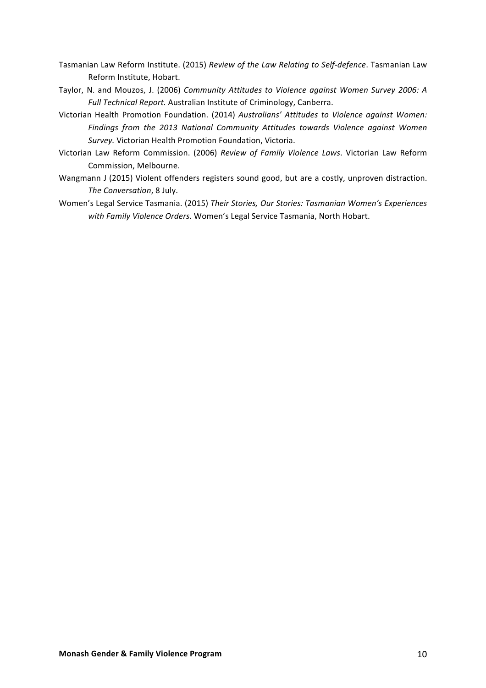- Tasmanian Law Reform Institute. (2015) *Review of the Law Relating to Self-defence*. Tasmanian Law Reform Institute, Hobart.
- Taylor, N. and Mouzos, J. (2006) *Community Attitudes to Violence against Women Survey 2006: A* Full Technical Report. Australian Institute of Criminology, Canberra.
- Victorian Health Promotion Foundation. (2014) Australians' Attitudes to Violence against Women: Findings from the 2013 National Community Attitudes towards Violence against Women Survey. Victorian Health Promotion Foundation, Victoria.
- Victorian Law Reform Commission. (2006) *Review of Family Violence Laws*. Victorian Law Reform Commission, Melbourne.
- Wangmann J (2015) Violent offenders registers sound good, but are a costly, unproven distraction. *The Conversation*, 8 July.
- Women's Legal Service Tasmania. (2015) Their Stories, Our Stories: Tasmanian Women's Experiences with Family Violence Orders. Women's Legal Service Tasmania, North Hobart.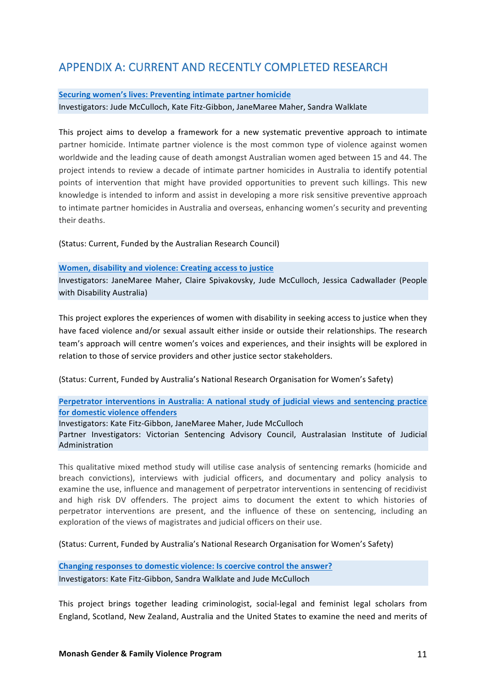# APPENDIX A: CURRENT AND RECENTLY COMPLETED RESEARCH

#### **Securing women's lives: Preventing intimate partner homicide**

Investigators: Jude McCulloch, Kate Fitz-Gibbon, JaneMaree Maher, Sandra Walklate

This project aims to develop a framework for a new systematic preventive approach to intimate partner homicide. Intimate partner violence is the most common type of violence against women worldwide and the leading cause of death amongst Australian women aged between 15 and 44. The project intends to review a decade of intimate partner homicides in Australia to identify potential points of intervention that might have provided opportunities to prevent such killings. This new knowledge is intended to inform and assist in developing a more risk sensitive preventive approach to intimate partner homicides in Australia and overseas, enhancing women's security and preventing their deaths.

(Status: Current, Funded by the Australian Research Council)

#### **Women, disability and violence: Creating access to justice**

Investigators: JaneMaree Maher, Claire Spivakovsky, Jude McCulloch, Jessica Cadwallader (People with Disability Australia)

This project explores the experiences of women with disability in seeking access to justice when they have faced violence and/or sexual assault either inside or outside their relationships. The research team's approach will centre women's voices and experiences, and their insights will be explored in relation to those of service providers and other justice sector stakeholders.

(Status: Current, Funded by Australia's National Research Organisation for Women's Safety)

#### **Perpetrator interventions in Australia: A national study of judicial views and sentencing practice for domestic violence offenders**

Investigators: Kate Fitz-Gibbon, JaneMaree Maher, Jude McCulloch

Partner Investigators: Victorian Sentencing Advisory Council, Australasian Institute of Judicial Administration

This qualitative mixed method study will utilise case analysis of sentencing remarks (homicide and breach convictions), interviews with judicial officers, and documentary and policy analysis to examine the use, influence and management of perpetrator interventions in sentencing of recidivist and high risk DV offenders. The project aims to document the extent to which histories of perpetrator interventions are present, and the influence of these on sentencing, including an exploration of the views of magistrates and judicial officers on their use.

(Status: Current, Funded by Australia's National Research Organisation for Women's Safety)

Changing responses to domestic violence: Is coercive control the answer? Investigators: Kate Fitz-Gibbon, Sandra Walklate and Jude McCulloch

This project brings together leading criminologist, social-legal and feminist legal scholars from England, Scotland, New Zealand, Australia and the United States to examine the need and merits of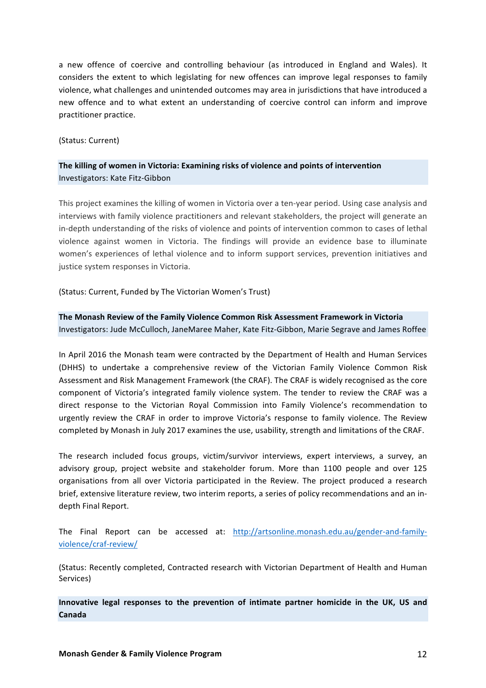a new offence of coercive and controlling behaviour (as introduced in England and Wales). It considers the extent to which legislating for new offences can improve legal responses to family violence, what challenges and unintended outcomes may area in jurisdictions that have introduced a new offence and to what extent an understanding of coercive control can inform and improve practitioner practice.

#### (Status: Current)

### The killing of women in Victoria: Examining risks of violence and points of intervention Investigators: Kate Fitz-Gibbon

This project examines the killing of women in Victoria over a ten-year period. Using case analysis and interviews with family violence practitioners and relevant stakeholders, the project will generate an in-depth understanding of the risks of violence and points of intervention common to cases of lethal violence against women in Victoria. The findings will provide an evidence base to illuminate women's experiences of lethal violence and to inform support services, prevention initiatives and justice system responses in Victoria.

(Status: Current, Funded by The Victorian Women's Trust)

#### The Monash Review of the Family Violence Common Risk Assessment Framework in Victoria Investigators: Jude McCulloch, JaneMaree Maher, Kate Fitz-Gibbon, Marie Segrave and James Roffee

In April 2016 the Monash team were contracted by the Department of Health and Human Services (DHHS) to undertake a comprehensive review of the Victorian Family Violence Common Risk Assessment and Risk Management Framework (the CRAF). The CRAF is widely recognised as the core component of Victoria's integrated family violence system. The tender to review the CRAF was a direct response to the Victorian Royal Commission into Family Violence's recommendation to urgently review the CRAF in order to improve Victoria's response to family violence. The Review completed by Monash in July 2017 examines the use, usability, strength and limitations of the CRAF.

The research included focus groups, victim/survivor interviews, expert interviews, a survey, an advisory group, project website and stakeholder forum. More than 1100 people and over 125 organisations from all over Victoria participated in the Review. The project produced a research brief, extensive literature review, two interim reports, a series of policy recommendations and an indepth Final Report.

The Final Report can be accessed at: http://artsonline.monash.edu.au/gender-and-familyviolence/craf-review/

(Status: Recently completed, Contracted research with Victorian Department of Health and Human Services)

Innovative legal responses to the prevention of intimate partner homicide in the UK, US and **Canada**